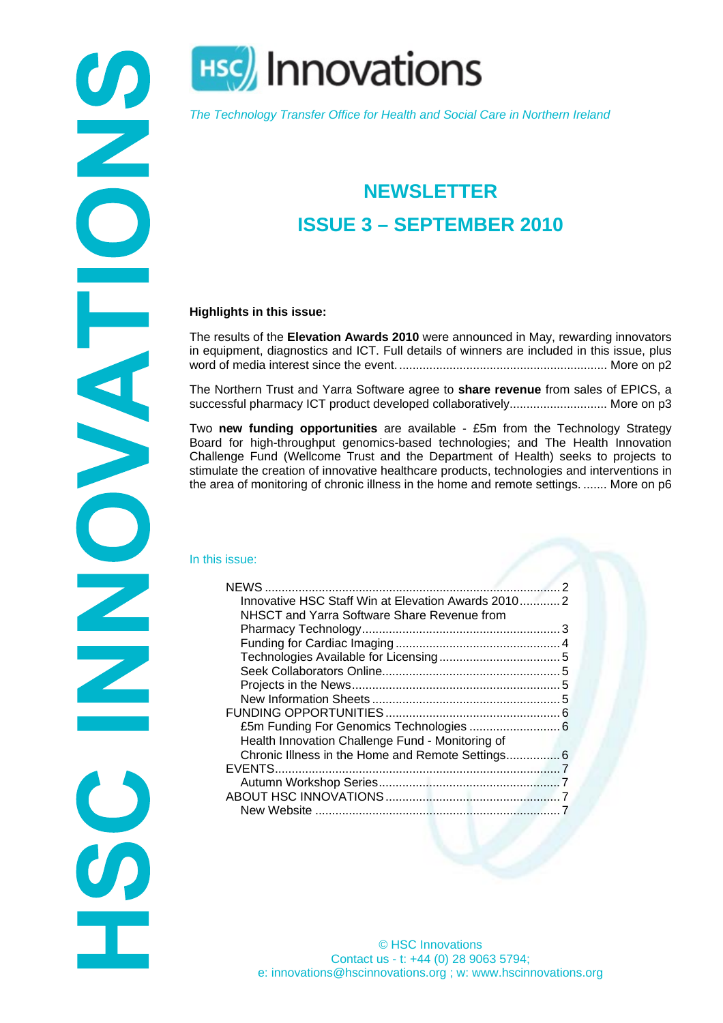

**HSC** Innovations

*The Technology Transfer Office for Health and Social Care in Northern Ireland* 

# **NEWSLETTER ISSUE 3 – SEPTEMBER 2010**

#### **Highlights in this issue:**

The results of the **Elevation Awards 2010** were announced in May, rewarding innovators in equipment, diagnostics and ICT. Full details of winners are included in this issue, plus word of media interest since the event............................................................... More on [p2](#page-1-0) 

The Northern Trust and Yarra Software agree to **share revenue** from sales of EPICS, a successful pharmacy ICT product developed collaboratively............................... More on p3

Two **new funding opportunities** are available - £5m from the Technology Strategy Board for high-throughput genomics-based technologies; and The Health Innovation Challenge Fund (Wellcome Trust and the Department of Health) seeks to projects to stimulate the creation of innovative healthcare products, technologies and interventions in the area of monitoring of chronic illness in the home and remote settings. ....... More on [p6](#page-5-0) 

#### In this issue:

| Innovative HSC Staff Win at Elevation Awards 20102 |  |
|----------------------------------------------------|--|
| NHSCT and Yarra Software Share Revenue from        |  |
|                                                    |  |
|                                                    |  |
|                                                    |  |
|                                                    |  |
|                                                    |  |
|                                                    |  |
|                                                    |  |
|                                                    |  |
| Health Innovation Challenge Fund - Monitoring of   |  |
| Chronic Illness in the Home and Remote Settings 6  |  |
|                                                    |  |
|                                                    |  |
|                                                    |  |
|                                                    |  |
|                                                    |  |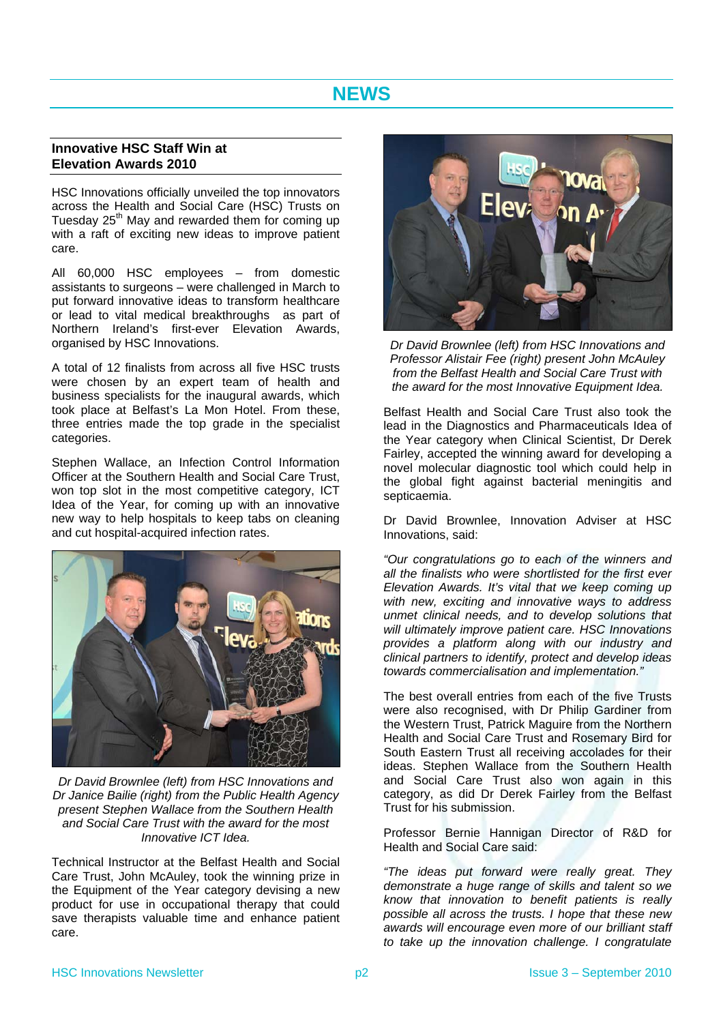## **NEWS**

### <span id="page-1-2"></span><span id="page-1-1"></span><span id="page-1-0"></span>**Innovative HSC Staff Win at Elevation Awards 2010**

HSC Innovations officially unveiled the top innovators across the Health and Social Care (HSC) Trusts on Tuesday  $25<sup>th</sup>$  May and rewarded them for coming up with a raft of exciting new ideas to improve patient care.

All 60,000 HSC employees – from domestic assistants to surgeons – were challenged in March to put forward innovative ideas to transform healthcare or lead to vital medical breakthroughs as part of Northern Ireland's first-ever Elevation Awards, organised by HSC Innovations.

A total of 12 finalists from across all five HSC trusts were chosen by an expert team of health and business specialists for the inaugural awards, which took place at Belfast's La Mon Hotel. From these, three entries made the top grade in the specialist categories.

Stephen Wallace, an Infection Control Information Officer at the Southern Health and Social Care Trust, won top slot in the most competitive category, ICT Idea of the Year, for coming up with an innovative new way to help hospitals to keep tabs on cleaning and cut hospital-acquired infection rates.



*Dr David Brownlee (left) from HSC Innovations and Dr Janice Bailie (right) from the Public Health Agency present Stephen Wallace from the Southern Health and Social Care Trust with the award for the most Innovative ICT Idea.* 

Technical Instructor at the Belfast Health and Social Care Trust, John McAuley, took the winning prize in the Equipment of the Year category devising a new product for use in occupational therapy that could save therapists valuable time and enhance patient care.



*Dr David Brownlee (left) from HSC Innovations and Professor Alistair Fee (right) present John McAuley from the Belfast Health and Social Care Trust with the award for the most Innovative Equipment Idea.* 

Belfast Health and Social Care Trust also took the lead in the Diagnostics and Pharmaceuticals Idea of the Year category when Clinical Scientist, Dr Derek Fairley, accepted the winning award for developing a novel molecular diagnostic tool which could help in the global fight against bacterial meningitis and septicaemia.

Dr David Brownlee, Innovation Adviser at HSC Innovations, said:

*"Our congratulations go to each of the winners and all the finalists who were shortlisted for the first ever Elevation Awards. It's vital that we keep coming up with new, exciting and innovative ways to address unmet clinical needs, and to develop solutions that will ultimately improve patient care. HSC Innovations provides a platform along with our industry and clinical partners to identify, protect and develop ideas towards commercialisation and implementation."* 

The best overall entries from each of the five Trusts were also recognised, with Dr Philip Gardiner from the Western Trust, Patrick Maguire from the Northern Health and Social Care Trust and Rosemary Bird for South Eastern Trust all receiving accolades for their ideas. Stephen Wallace from the Southern Health and Social Care Trust also won again in this category, as did Dr Derek Fairley from the Belfast Trust for his submission.

Professor Bernie Hannigan Director of R&D for Health and Social Care said:

*"The ideas put forward were really great. They demonstrate a huge range of skills and talent so we know that innovation to benefit patients is really possible all across the trusts. I hope that these new awards will encourage even more of our brilliant staff to take up the innovation challenge. I congratulate*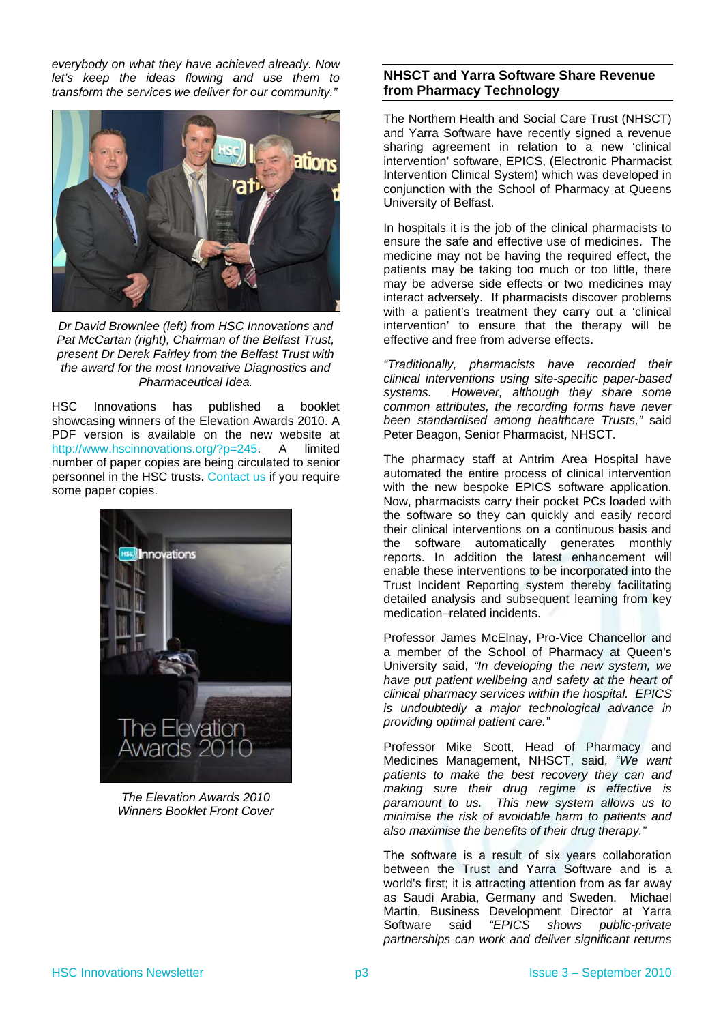*everybody on what they have achieved already. Now let's keep the ideas flowing and use them to transform the services we deliver for our community."* 



*Dr David Brownlee (left) from HSC Innovations and Pat McCartan (right), Chairman of the Belfast Trust, present Dr Derek Fairley from the Belfast Trust with the award for the most Innovative Diagnostics and Pharmaceutical Idea.* 

HSC Innovations has published a booklet showcasing winners of the Elevation Awards 2010. A PDF version is available on the new website at [http://www.hscinnovations.org/?p=245.](http://www.hscinnovations.org/?p=245) A limited number of paper copies are being circulated to senior personnel in the HSC trusts. [Contact us](http://www.hscinnovations.org/?page_id=125) if you require some paper copies.

<span id="page-2-0"></span>

*The Elevation Awards 2010 Winners Booklet Front Cover* 

## **NHSCT and Yarra Software Share Revenue from Pharmacy Technology**

The Northern Health and Social Care Trust (NHSCT) and Yarra Software have recently signed a revenue sharing agreement in relation to a new 'clinical intervention' software, EPICS, (Electronic Pharmacist Intervention Clinical System) which was developed in conjunction with the School of Pharmacy at Queens University of Belfast.

In hospitals it is the job of the clinical pharmacists to ensure the safe and effective use of medicines. The medicine may not be having the required effect, the patients may be taking too much or too little, there may be adverse side effects or two medicines may interact adversely. If pharmacists discover problems with a patient's treatment they carry out a 'clinical intervention' to ensure that the therapy will be effective and free from adverse effects.

*"Traditionally, pharmacists have recorded their clinical interventions using site-specific paper-based systems. However, although they share some common attributes, the recording forms have never been standardised among healthcare Trusts,"* said Peter Beagon, Senior Pharmacist, NHSCT.

The pharmacy staff at Antrim Area Hospital have automated the entire process of clinical intervention with the new bespoke EPICS software application. Now, pharmacists carry their pocket PCs loaded with the software so they can quickly and easily record their clinical interventions on a continuous basis and the software automatically generates monthly reports. In addition the latest enhancement will enable these interventions to be incorporated into the Trust Incident Reporting system thereby facilitating detailed analysis and subsequent learning from key medication–related incidents.

Professor James McElnay, Pro-Vice Chancellor and a member of the School of Pharmacy at Queen's University said, *"In developing the new system, we have put patient wellbeing and safety at the heart of clinical pharmacy services within the hospital. EPICS is undoubtedly a major technological advance in providing optimal patient care."*

Professor Mike Scott, Head of Pharmacy and Medicines Management, NHSCT, said, *"We want patients to make the best recovery they can and making sure their drug regime is effective is paramount to us. This new system allows us to minimise the risk of avoidable harm to patients and also maximise the benefits of their drug therapy."*

The software is a result of six years collaboration between the Trust and Yarra Software and is a world's first; it is attracting attention from as far away as Saudi Arabia, Germany and Sweden. Michael Martin, Business Development Director at Yarra Software said *"EPICS shows public-private partnerships can work and deliver significant returns*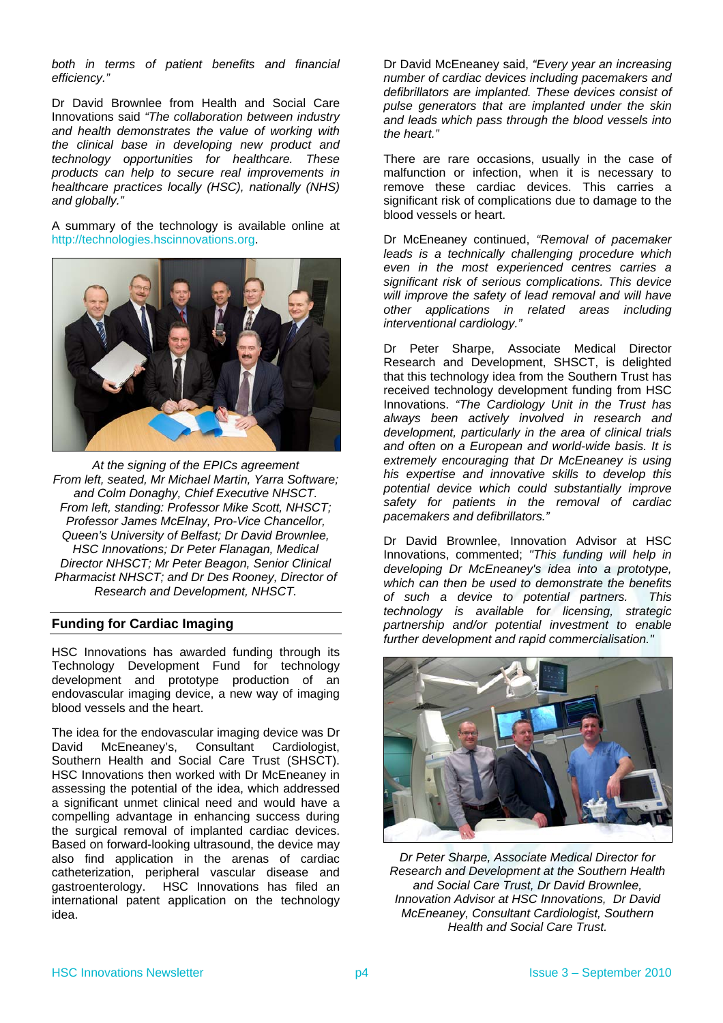*both in terms of patient benefits and financial efficiency."*

Dr David Brownlee from Health and Social Care Innovations said *"The collaboration between industry and health demonstrates the value of working with the clinical base in developing new product and technology opportunities for healthcare. These products can help to secure real improvements in healthcare practices locally (HSC), nationally (NHS) and globally."*

A summary of the technology is available online at [http://technologies.hscinnovations.org.](http://technologies.hscinnovations.org/)



*At the signing of the EPICs agreement From left, seated, Mr Michael Martin, Yarra Software; and Colm Donaghy, Chief Executive NHSCT. From left, standing: Professor Mike Scott, NHSCT; Professor James McElnay, Pro-Vice Chancellor, Queen's University of Belfast; Dr David Brownlee, HSC Innovations; Dr Peter Flanagan, Medical Director NHSCT; Mr Peter Beagon, Senior Clinical Pharmacist NHSCT; and Dr Des Rooney, Director of Research and Development, NHSCT.* 

## <span id="page-3-0"></span>**Funding for Cardiac Imaging**

HSC Innovations has awarded funding through its Technology Development Fund for technology development and prototype production of an endovascular imaging device, a new way of imaging blood vessels and the heart.

The idea for the endovascular imaging device was Dr David McEneaney's, Consultant Cardiologist, Southern Health and Social Care Trust (SHSCT). HSC Innovations then worked with Dr McEneaney in assessing the potential of the idea, which addressed a significant unmet clinical need and would have a compelling advantage in enhancing success during the surgical removal of implanted cardiac devices. Based on forward-looking ultrasound, the device may also find application in the arenas of cardiac catheterization, peripheral vascular disease and gastroenterology. HSC Innovations has filed an international patent application on the technology idea.

Dr David McEneaney said, *"Every year an increasing number of cardiac devices including pacemakers and defibrillators are implanted. These devices consist of pulse generators that are implanted under the skin and leads which pass through the blood vessels into the heart."*

There are rare occasions, usually in the case of malfunction or infection, when it is necessary to remove these cardiac devices. This carries a significant risk of complications due to damage to the blood vessels or heart.

Dr McEneaney continued, *"Removal of pacemaker leads is a technically challenging procedure which even in the most experienced centres carries a significant risk of serious complications. This device will improve the safety of lead removal and will have other applications in related areas including interventional cardiology."*

Dr Peter Sharpe, Associate Medical Director Research and Development, SHSCT, is delighted that this technology idea from the Southern Trust has received technology development funding from HSC Innovations. *"The Cardiology Unit in the Trust has always been actively involved in research and development, particularly in the area of clinical trials and often on a European and world-wide basis. It is extremely encouraging that Dr McEneaney is using his expertise and innovative skills to develop this potential device which could substantially improve safety for patients in the removal of cardiac pacemakers and defibrillators."*

Dr David Brownlee, Innovation Advisor at HSC Innovations, commented; *"This funding will help in developing Dr McEneaney's idea into a prototype, which can then be used to demonstrate the benefits of such a device to potential partners. This technology is available for licensing, strategic partnership and/or potential investment to enable further development and rapid commercialisation."*



*Dr Peter Sharpe, Associate Medical Director for Research and Development at the Southern Health and Social Care Trust, Dr David Brownlee, Innovation Advisor at HSC Innovations, Dr David McEneaney, Consultant Cardiologist, Southern Health and Social Care Trust.*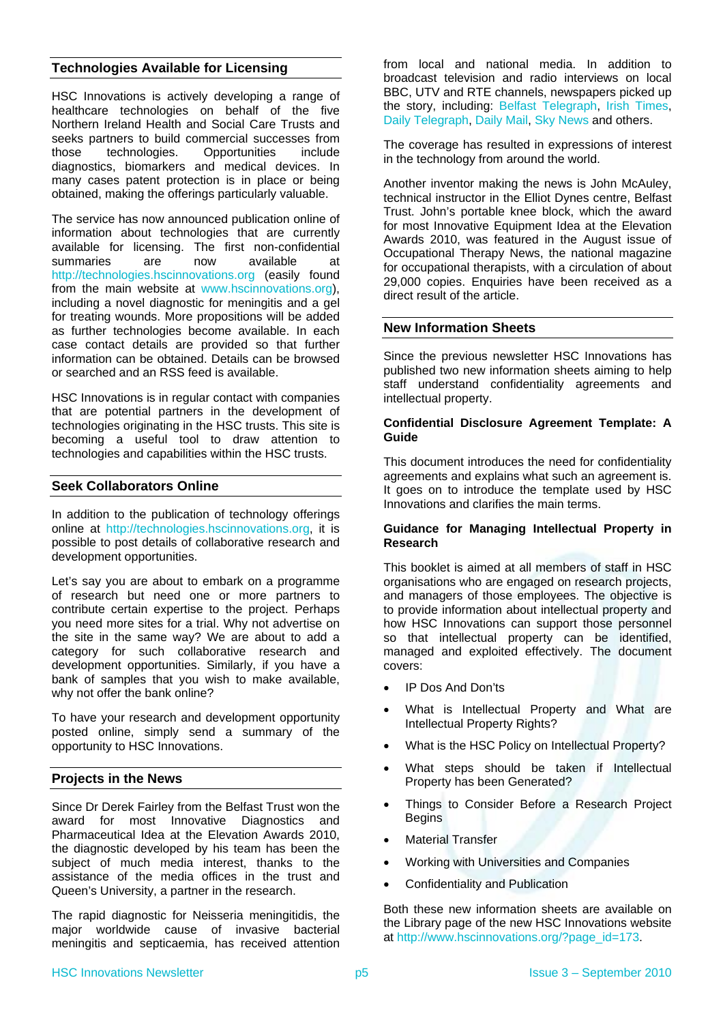## <span id="page-4-0"></span>**Technologies Available for Licensing**

HSC Innovations is actively developing a range of healthcare technologies on behalf of the five Northern Ireland Health and Social Care Trusts and seeks partners to build commercial successes from those technologies. Opportunities include diagnostics, biomarkers and medical devices. In many cases patent protection is in place or being obtained, making the offerings particularly valuable.

The service has now announced publication online of information about technologies that are currently available for licensing. The first non-confidential summaries are now available at [http://technologies.hscinnovations.org](http://technologies.hscinnovations.org/) (easily found from the main website at [www.hscinnovations.org\)](http://www.hscinnovations.org/), including a novel diagnostic for meningitis and a gel for treating wounds. More propositions will be added as further technologies become available. In each case contact details are provided so that further information can be obtained. Details can be browsed or searched and an RSS feed is available.

HSC Innovations is in regular contact with companies that are potential partners in the development of technologies originating in the HSC trusts. This site is becoming a useful tool to draw attention to technologies and capabilities within the HSC trusts.

### <span id="page-4-1"></span>**Seek Collaborators Online**

In addition to the publication of technology offerings online at [http://technologies.hscinnovations.org,](http://technologies.hscinnovations.org/) it is possible to post details of collaborative research and development opportunities.

Let's say you are about to embark on a programme of research but need one or more partners to contribute certain expertise to the project. Perhaps you need more sites for a trial. Why not advertise on the site in the same way? We are about to add a category for such collaborative research and development opportunities. Similarly, if you have a bank of samples that you wish to make available, why not offer the bank online?

To have your research and development opportunity posted online, simply send a summary of the opportunity to HSC Innovations.

#### <span id="page-4-2"></span>**Projects in the News**

Since Dr Derek Fairley from the Belfast Trust won the award for most Innovative Diagnostics and Pharmaceutical Idea at the Elevation Awards 2010, the diagnostic developed by his team has been the subject of much media interest, thanks to the assistance of the media offices in the trust and Queen's University, a partner in the research.

<span id="page-4-3"></span>The rapid diagnostic for Neisseria meningitidis, the major worldwide cause of invasive bacterial meningitis and septicaemia, has received attention from local and national media. In addition to broadcast television and radio interviews on local BBC, UTV and RTE channels, newspapers picked up the story, including: [Belfast Telegraph](http://www.belfasttelegraph.co.uk/community-telegraph/south-belfast/news/qub-develops-lifesaving-meningitis-test-14917667.html), [Irish Times](http://www.irishtimes.com/newspaper/ireland/2010/0817/1224276973808.html), [Daily Telegraph,](http://www.telegraph.co.uk/health/healthnews/7948623/New-meningitis-test-that-can-detect-infection-within-an-hour.html) [Daily Mail,](http://www.dailymail.co.uk/health/article-1304390/Rapid-meningitis-test-tell-child-brain-disease-just-ONE-HOUR.html) [Sky News](http://news.sky.com/skynews/Home/UK-News/Doctors-Are-Testing-A-Fast-New-Meningitis-Detector-Which-Could-Save-Lives-Through-Quicker-Diagnosis/Article/201008315692184?lpos=UK_News_Second_UK_News_Article_Teaser_Region_1&lid=ARTICLE_15692184_Doctors_Are_Testi) and others.

The coverage has resulted in expressions of interest in the technology from around the world.

Another inventor making the news is John McAuley, technical instructor in the Elliot Dynes centre, Belfast Trust. John's portable knee block, which the award for most Innovative Equipment Idea at the Elevation Awards 2010, was featured in the August issue of Occupational Therapy News, the national magazine for occupational therapists, with a circulation of about 29,000 copies. Enquiries have been received as a direct result of the article.

#### **New Information Sheets**

Since the previous newsletter HSC Innovations has published two new information sheets aiming to help staff understand confidentiality agreements and intellectual property.

#### **Confidential Disclosure Agreement Template: A Guide**

This document introduces the need for confidentiality agreements and explains what such an agreement is. It goes on to introduce the template used by HSC Innovations and clarifies the main terms.

#### **Guidance for Managing Intellectual Property in Research**

This booklet is aimed at all members of staff in HSC organisations who are engaged on research projects, and managers of those employees. The objective is to provide information about intellectual property and how HSC Innovations can support those personnel so that intellectual property can be identified, managed and exploited effectively. The document covers:

- IP Dos And Don'ts
- What is Intellectual Property and What are Intellectual Property Rights?
- What is the HSC Policy on Intellectual Property?
- What steps should be taken if Intellectual Property has been Generated?
- Things to Consider Before a Research Project **Begins**
- Material Transfer
- Working with Universities and Companies
- Confidentiality and Publication

Both these new information sheets are available on the Library page of the new HSC Innovations website at [http://www.hscinnovations.org/?page\\_id=173](http://www.hscinnovations.org/?page_id=173).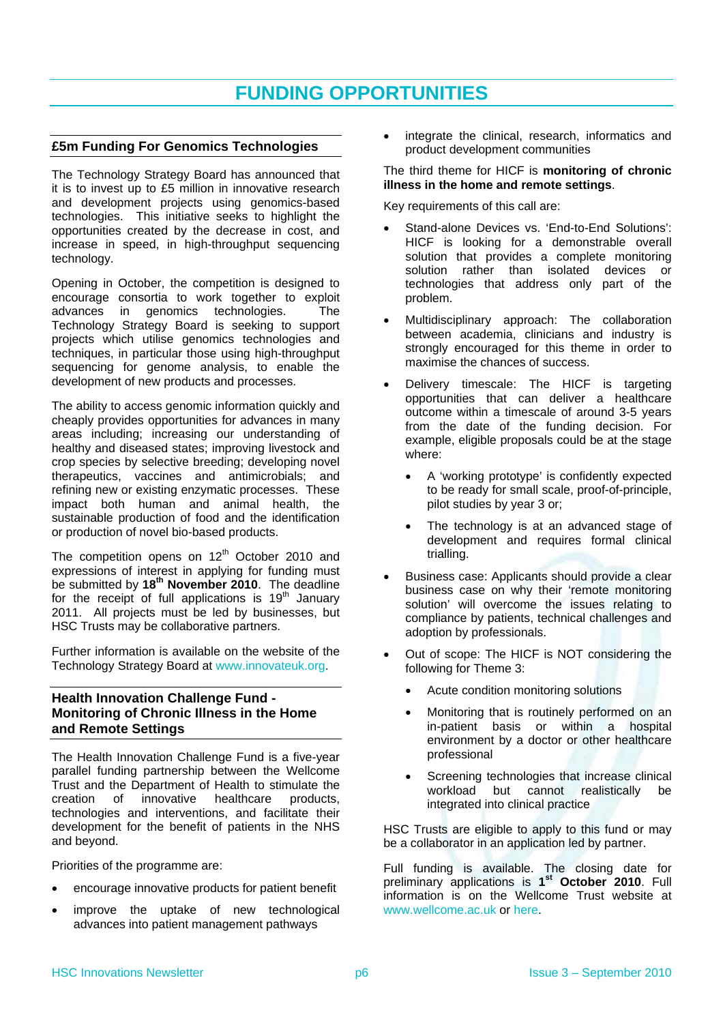## **FUNDING OPPORTUNITIES**

## <span id="page-5-1"></span><span id="page-5-0"></span>**£5m Funding For Genomics Technologies**

The Technology Strategy Board has announced that it is to invest up to £5 million in innovative research and development projects using genomics-based technologies. This initiative seeks to highlight the opportunities created by the decrease in cost, and increase in speed, in high-throughput sequencing technology.

Opening in October, the competition is designed to encourage consortia to work together to exploit advances in genomics technologies. The Technology Strategy Board is seeking to support projects which utilise genomics technologies and techniques, in particular those using high-throughput sequencing for genome analysis, to enable the development of new products and processes.

The ability to access genomic information quickly and cheaply provides opportunities for advances in many areas including; increasing our understanding of healthy and diseased states; improving livestock and crop species by selective breeding; developing novel therapeutics, vaccines and antimicrobials; and refining new or existing enzymatic processes. These impact both human and animal health, the sustainable production of food and the identification or production of novel bio-based products.

The competition opens on  $12<sup>th</sup>$  October 2010 and expressions of interest in applying for funding must be submitted by **18th November 2010**. The deadline for the receipt of full applications is  $19<sup>th</sup>$  January 2011. All projects must be led by businesses, but HSC Trusts may be collaborative partners.

Further information is available on the website of the Technology Strategy Board at [www.innovateuk.org.](http://www.innovateuk.org/)

## <span id="page-5-2"></span>**Health Innovation Challenge Fund - Monitoring of Chronic Illness in the Home and Remote Settings**

The Health Innovation Challenge Fund is a five-year parallel funding partnership between the Wellcome Trust and the Department of Health to stimulate the creation of innovative healthcare products, technologies and interventions, and facilitate their development for the benefit of patients in the NHS and beyond.

Priorities of the programme are:

- encourage innovative products for patient benefit
- improve the uptake of new technological advances into patient management pathways

 integrate the clinical, research, informatics and product development communities

#### The third theme for HICF is **monitoring of chronic illness in the home and remote settings**.

Key requirements of this call are:

- Stand-alone Devices vs. 'End-to-End Solutions': HICF is looking for a demonstrable overall solution that provides a complete monitoring solution rather than isolated devices or technologies that address only part of the problem.
- Multidisciplinary approach: The collaboration between academia, clinicians and industry is strongly encouraged for this theme in order to maximise the chances of success.
- Delivery timescale: The HICF is targeting opportunities that can deliver a healthcare outcome within a timescale of around 3-5 years from the date of the funding decision. For example, eligible proposals could be at the stage where:
	- A 'working prototype' is confidently expected to be ready for small scale, proof-of-principle, pilot studies by year 3 or;
	- The technology is at an advanced stage of development and requires formal clinical trialling.
- Business case: Applicants should provide a clear business case on why their 'remote monitoring solution' will overcome the issues relating to compliance by patients, technical challenges and adoption by professionals.
- Out of scope: The HICF is NOT considering the following for Theme 3:
	- Acute condition monitoring solutions
	- Monitoring that is routinely performed on an in-patient basis or within a hospital environment by a doctor or other healthcare professional
	- Screening technologies that increase clinical workload but cannot realistically be integrated into clinical practice

HSC Trusts are eligible to apply to this fund or may be a collaborator in an application led by partner.

Full funding is available. The closing date for preliminary applications is **1st October 2010**. Full information is on the Wellcome Trust website at [www.wellcome.ac.uk](http://www.wellcome.ac.uk/) or [here.](http://www.wellcome.ac.uk/Funding/Technology-transfer/Awards/Health-Innovation-Challenge-Fund/index.htm)